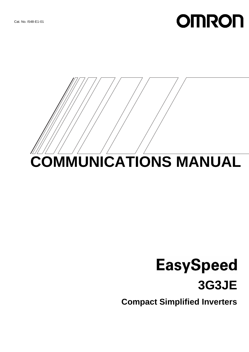# **OMRON**



# **EasySpeed 3G3JE**

**Compact Simplified Inverters**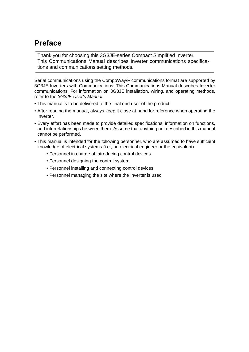### **Preface**

Thank you for choosing this 3G3JE-series Compact Simplified Inverter. This Communications Manual describes Inverter communications specifications and communications setting methods.

Serial communications using the CompoWay/F communications format are supported by 3G3JE Inverters with Communications. This Communications Manual describes Inverter communications. For information on 3G3JE installation, wiring, and operating methods, refer to the 3G3JE User's Manual.

- This manual is to be delivered to the final end user of the product.
- After reading the manual, always keep it close at hand for reference when operating the Inverter.
- Every effort has been made to provide detailed specifications, information on functions, and interrelationships between them. Assume that anything not described in this manual cannot be performed.
- This manual is intended for the following personnel, who are assumed to have sufficient knowledge of electrical systems (i.e., an electrical engineer or the equivalent).
	- Personnel in charge of introducing control devices
	- Personnel designing the control system
	- Personnel installing and connecting control devices
	- Personnel managing the site where the Inverter is used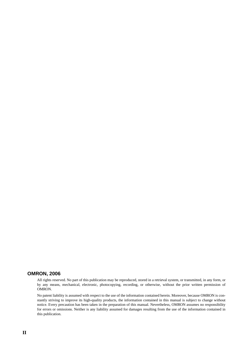#### **OMRON, 2006**

All rights reserved. No part of this publication may be reproduced, stored in a retrieval system, or transmitted, in any form, or by any means, mechanical, electronic, photocopying, recording, or otherwise, without the prior written permission of OMRON.

No patent liability is assumed with respect to the use of the information contained herein. Moreover, because OMRON is constantly striving to improve its high-quality products, the information contained in this manual is subject to change without notice. Every precaution has been taken in the preparation of this manual. Nevertheless, OMRON assumes no responsibility for errors or omissions. Neither is any liability assumed for damages resulting from the use of the information contained in this publication.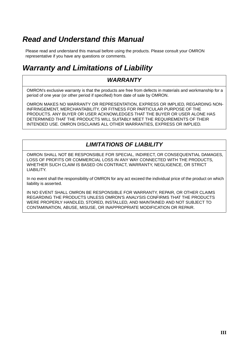# **Read and Understand this Manual**

Please read and understand this manual before using the products. Please consult your OMRON representative if you have any questions or comments.

# **Warranty and Limitations of Liability**

#### **WARRANTY**

OMRON's exclusive warranty is that the products are free from defects in materials and workmanship for a period of one year (or other period if specified) from date of sale by OMRON.

OMRON MAKES NO WARRANTY OR REPRESENTATION, EXPRESS OR IMPLIED, REGARDING NON-INFRINGEMENT, MERCHANTABILITY, OR FITNESS FOR PARTICULAR PURPOSE OF THE PRODUCTS. ANY BUYER OR USER ACKNOWLEDGES THAT THE BUYER OR USER ALONE HAS DETERMINED THAT THE PRODUCTS WILL SUITABLY MEET THE REQUIREMENTS OF THEIR INTENDED USE. OMRON DISCLAIMS ALL OTHER WARRANTIES, EXPRESS OR IMPLIED.

#### **LIMITATIONS OF LIABILITY**

OMRON SHALL NOT BE RESPONSIBLE FOR SPECIAL, INDIRECT, OR CONSEQUENTIAL DAMAGES, LOSS OF PROFITS OR COMMERCIAL LOSS IN ANY WAY CONNECTED WITH THE PRODUCTS, WHETHER SUCH CLAIM IS BASED ON CONTRACT, WARRANTY, NEGLIGENCE, OR STRICT LIABILITY.

In no event shall the responsibility of OMRON for any act exceed the individual price of the product on which liability is asserted.

IN NO EVENT SHALL OMRON BE RESPONSIBLE FOR WARRANTY, REPAIR, OR OTHER CLAIMS REGARDING THE PRODUCTS UNLESS OMRON'S ANALYSIS CONFIRMS THAT THE PRODUCTS WERE PROPERLY HANDLED, STORED, INSTALLED, AND MAINTAINED AND NOT SUBJECT TO CONTAMINATION, ABUSE, MISUSE, OR INAPPROPRIATE MODIFICATION OR REPAIR.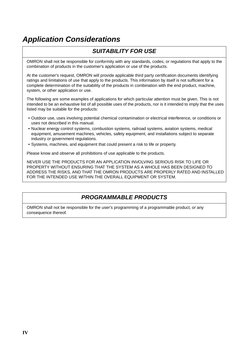# **Application Considerations**

#### **SUITABILITY FOR USE**

OMRON shall not be responsible for conformity with any standards, codes, or regulations that apply to the combination of products in the customer's application or use of the products.

At the customer's request, OMRON will provide applicable third party certification documents identifying ratings and limitations of use that apply to the products. This information by itself is not sufficient for a complete determination of the suitability of the products in combination with the end product, machine, system, or other application or use.

The following are some examples of applications for which particular attention must be given. This is not intended to be an exhaustive list of all possible uses of the products, nor is it intended to imply that the uses listed may be suitable for the products:

- Outdoor use, uses involving potential chemical contamination or electrical interference, or conditions or uses not described in this manual.
- Nuclear energy control systems, combustion systems, railroad systems, aviation systems, medical equipment, amusement machines, vehicles, safety equipment, and installations subject to separate industry or government regulations.
- Systems, machines, and equipment that could present a risk to life or property.

Please know and observe all prohibitions of use applicable to the products.

NEVER USE THE PRODUCTS FOR AN APPLICATION INVOLVING SERIOUS RISK TO LIFE OR PROPERTY WITHOUT ENSURING THAT THE SYSTEM AS A WHOLE HAS BEEN DESIGNED TO ADDRESS THE RISKS, AND THAT THE OMRON PRODUCTS ARE PROPERLY RATED AND INSTALLED FOR THE INTENDED USE WITHIN THE OVERALL EQUIPMENT OR SYSTEM.

#### **PROGRAMMABLE PRODUCTS**

OMRON shall not be responsible for the user's programming of a programmable product, or any consequence thereof.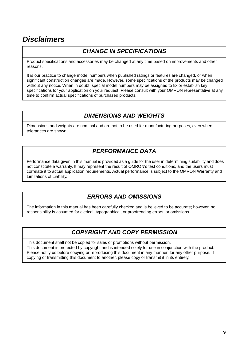# **Disclaimers**

#### **CHANGE IN SPECIFICATIONS**

Product specifications and accessories may be changed at any time based on improvements and other reasons.

It is our practice to change model numbers when published ratings or features are changed, or when significant construction changes are made. However, some specifications of the products may be changed without any notice. When in doubt, special model numbers may be assigned to fix or establish key specifications for your application on your request. Please consult with your OMRON representative at any time to confirm actual specifications of purchased products.

#### **DIMENSIONS AND WEIGHTS**

Dimensions and weights are nominal and are not to be used for manufacturing purposes, even when tolerances are shown.

#### **PERFORMANCE DATA**

Performance data given in this manual is provided as a guide for the user in determining suitability and does not constitute a warranty. It may represent the result of OMRON's test conditions, and the users must correlate it to actual application requirements. Actual performance is subject to the OMRON Warranty and Limitations of Liability.

#### **ERRORS AND OMISSIONS**

The information in this manual has been carefully checked and is believed to be accurate; however, no responsibility is assumed for clerical, typographical, or proofreading errors, or omissions.

#### **COPYRIGHT AND COPY PERMISSION**

This document shall not be copied for sales or promotions without permission. This document is protected by copyright and is intended solely for use in conjunction with the product. Please notify us before copying or reproducing this document in any manner, for any other purpose. If copying or transmitting this document to another, please copy or transmit it in its entirely.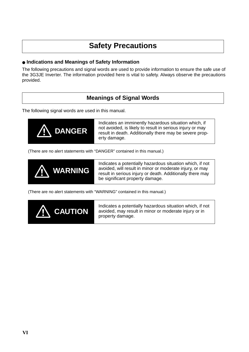### **Safety Precautions**

#### ● **Indications and Meanings of Safety Information**

The following precautions and signal words are used to provide information to ensure the safe use of the 3G3JE Inverter. The information provided here is vital to safety. Always observe the precautions provided.

#### **Meanings of Signal Words**

The following signal words are used in this manual.



Indicates an imminently hazardous situation which, if not avoided, is likely to result in serious injury or may result in death. Additionally there may be severe property damage.

(There are no alert statements with "DANGER" contained in this manual.)



Indicates a potentially hazardous situation which, if not avoided, will result in minor or moderate injury, or may result in serious injury or death. Additionally there may be significant property damage.

(There are no alert statements with "WARNING" contained in this manual.)

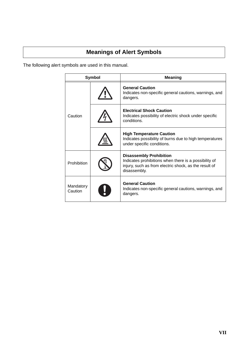#### **Meanings of Alert Symbols**

The following alert symbols are used in this manual.

| Symbol               |  | <b>Meaning</b>                                                                                                                                                   |
|----------------------|--|------------------------------------------------------------------------------------------------------------------------------------------------------------------|
|                      |  | <b>General Caution</b><br>Indicates non-specific general cautions, warnings, and<br>dangers.                                                                     |
| Caution              |  | <b>Electrical Shock Caution</b><br>Indicates possibility of electric shock under specific<br>conditions.                                                         |
|                      |  | <b>High Temperature Caution</b><br>Indicates possibility of burns due to high temperatures<br>under specific conditions.                                         |
| Prohibition          |  | <b>Disassembly Prohibition</b><br>Indicates prohibitions when there is a possibility of<br>injury, such as from electric shock, as the result of<br>disassembly. |
| Mandatory<br>Caution |  | <b>General Caution</b><br>Indicates non-specific general cautions, warnings, and<br>dangers.                                                                     |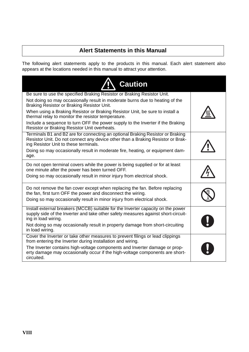#### **Alert Statements in this Manual**

The following alert statements apply to the products in this manual. Each alert statement also appears at the locations needed in this manual to attract your attention.

| <b>Caution</b>                                                                                                                                                                                             |  |
|------------------------------------------------------------------------------------------------------------------------------------------------------------------------------------------------------------|--|
| Be sure to use the specified Braking Resistor or Braking Resistor Unit.                                                                                                                                    |  |
| Not doing so may occasionally result in moderate burns due to heating of the<br>Braking Resistor or Braking Resistor Unit.                                                                                 |  |
| When using a Braking Resistor or Braking Resistor Unit, be sure to install a<br>thermal relay to monitor the resistor temperature.                                                                         |  |
| Include a sequence to turn OFF the power supply to the Inverter if the Braking<br>Resistor or Braking Resistor Unit overheats.                                                                             |  |
| Terminals B1 and B2 are for connecting an optional Braking Resistor or Braking<br>Resistor Unit. Do not connect any device other than a Braking Resistor or Brak-<br>ing Resistor Unit to these terminals. |  |
| Doing so may occasionally result in moderate fire, heating, or equipment dam-<br>age.                                                                                                                      |  |
| Do not open terminal covers while the power is being supplied or for at least<br>one minute after the power has been turned OFF.                                                                           |  |
| Doing so may occasionally result in minor injury from electrical shock.                                                                                                                                    |  |
| Do not remove the fan cover except when replacing the fan. Before replacing<br>the fan, first turn OFF the power and disconnect the wiring.                                                                |  |
| Doing so may occasionally result in minor injury from electrical shock.                                                                                                                                    |  |
| Install external breakers (MCCB) suitable for the Inverter capacity on the power<br>supply side of the Inverter and take other safety measures against short-circuit-<br>ing in load wiring.               |  |
| Not doing so may occasionally result in property damage from short-circuiting<br>in load wiring.                                                                                                           |  |
| Cover the Inverter or take other measures to prevent filings or lead clippings<br>from entering the Inverter during installation and wiring.                                                               |  |
| The Inverter contains high-voltage components and Inverter damage or prop-<br>erty damage may occasionally occur if the high-voltage components are short-<br>circuited.                                   |  |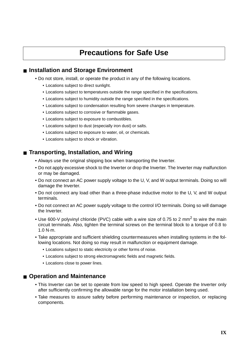# **Precautions for Safe Use**

#### ■ **Installation and Storage Environment**

- Do not store, install, or operate the product in any of the following locations.
	- Locations subject to direct sunlight.
	- Locations subject to temperatures outside the range specified in the specifications.
	- Locations subject to humidity outside the range specified in the specifications.
	- Locations subject to condensation resulting from severe changes in temperature.
	- Locations subject to corrosive or flammable gases.
	- Locations subject to exposure to combustibles.
	- Locations subject to dust (especially iron dust) or salts.
	- Locations subject to exposure to water, oil, or chemicals.
	- Locations subject to shock or vibration.

#### ■ **Transporting, Installation, and Wiring**

- Always use the original shipping box when transporting the Inverter.
- Do not apply excessive shock to the Inverter or drop the Inverter. The Inverter may malfunction or may be damaged.
- Do not connect an AC power supply voltage to the U, V, and W output terminals. Doing so will damage the Inverter.
- Do not connect any load other than a three-phase inductive motor to the U, V, and W output terminals.
- Do not connect an AC power supply voltage to the control I/O terminals. Doing so will damage the Inverter.
- Use 600-V polyvinyl chloride (PVC) cable with a wire size of 0.75 to 2 mm<sup>2</sup> to wire the main circuit terminals. Also, tighten the terminal screws on the terminal block to a torque of 0.8 to 1.0 N·m.
- Take appropriate and sufficient shielding countermeasures when installing systems in the following locations. Not doing so may result in malfunction or equipment damage.
	- Locations subject to static electricity or other forms of noise.
	- Locations subject to strong electromagnetic fields and magnetic fields.
	- Locations close to power lines.

#### ■ **Operation and Maintenance**

- This Inverter can be set to operate from low speed to high speed. Operate the Inverter only after sufficiently confirming the allowable range for the motor installation being used.
- Take measures to assure safety before performing maintenance or inspection, or replacing components.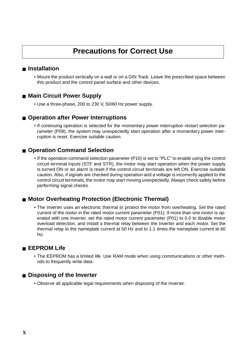# **Precautions for Correct Use**

#### ■ **Installation**

• Mount the product vertically on a wall or on a DIN Track. Leave the prescribed space between this product and the control panel surface and other devices.

#### ■ Main Circuit Power Supply

• Use a three-phase, 200 to 230 V, 50/60 Hz power supply.

#### ■ **Operation after Power Interruptions**

• If continuing operation is selected for the momentary power interruption restart selection parameter (P09), the system may unexpectedly start operation after a momentary power interruption is reset. Exercise suitable caution.

#### ■ **Operation Command Selection**

• If the operation command selection parameter (P10) is set to "PLC" to enable using the control circuit terminal inputs (STF and STR), the motor may start operation when the power supply is turned ON or an alarm is reset if the control circuit terminals are left ON. Exercise suitable caution. Also, if signals are checked during operation and a voltage is incorrectly applied to the control circuit terminals, the motor may start moving unexpectedly. Always check safety before performing signal checks.

#### <span id="page-10-2"></span>■ **Motor Overheating Protection (Electronic Thermal)**

<span id="page-10-1"></span>• The Inverter uses an electronic thermal to protect the motor from overheating. Set the rated current of the motor in the rated motor current parameter (P01). If more than one motor is operated with one Inverter, set the rated motor current parameter (P01) to 0.0 to disable motor overload detection, and install a thermal relay between the Inverter and each motor. Set the thermal relay to the nameplate current at 50 Hz and to 1.1 times the nameplate current at 60 Hz.

#### <span id="page-10-0"></span>■ **EEPROM Life**

• The EEPROM has a limited life. Use RAM mode when using communications or other methods to frequently write data.

#### ■ **Disposing of the Inverter**

• Observe all applicable legal requirements when disposing of the Inverter.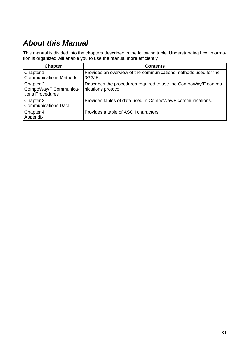# **About this Manual**

This manual is divided into the chapters described in the following table. Understanding how information is organized will enable you to use the manual more efficiently.

| <b>Chapter</b>                                         | <b>Contents</b>                                                                       |
|--------------------------------------------------------|---------------------------------------------------------------------------------------|
| Chapter 1<br><b>Communications Methods</b>             | Provides an overview of the communications methods used for the<br>3G3JE.             |
| Chapter 2<br>CompoWay/F Communica-<br>tions Procedures | Describes the procedures required to use the CompoWay/F commu-<br>nications protocol. |
| Chapter 3<br><b>Communications Data</b>                | Provides tables of data used in CompoWay/F communications.                            |
| Chapter 4<br>Appendix                                  | Provides a table of ASCII characters.                                                 |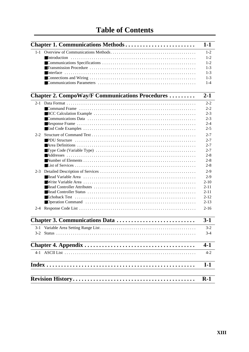|         | Chapter 1. Communications Methods                       | $1-1$                         |
|---------|---------------------------------------------------------|-------------------------------|
|         |                                                         | $1 - 2$<br>$1 - 2$<br>$1 - 2$ |
|         |                                                         | $1 - 3$                       |
|         |                                                         | $1 - 3$                       |
|         |                                                         | $1 - 3$                       |
|         |                                                         | $1 - 4$                       |
|         | <b>Chapter 2. CompoWay/F Communications Procedures </b> | $2 - 1$                       |
|         |                                                         | $2 - 2$                       |
|         |                                                         | $2 - 2$                       |
|         |                                                         | $2 - 3$                       |
|         |                                                         | $2 - 3$                       |
|         |                                                         | $2 - 4$                       |
|         |                                                         | $2 - 5$                       |
| $2 - 2$ |                                                         | $2 - 7$                       |
|         |                                                         | $2 - 7$                       |
|         |                                                         | $2 - 7$<br>$2 - 7$            |
|         |                                                         | $2 - 8$                       |
|         |                                                         | $2 - 8$                       |
|         |                                                         | $2 - 8$                       |
|         |                                                         | $2-9$                         |
|         |                                                         | $2-9$                         |
|         |                                                         | $2 - 10$                      |
|         |                                                         | $2 - 11$                      |
|         |                                                         | $2 - 11$                      |
|         |                                                         | $2 - 12$                      |
|         |                                                         | $2 - 13$                      |
|         |                                                         | $2 - 16$                      |
|         | Chapter 3. Communications Data                          | $3-1$                         |
|         |                                                         | $3 - 2$                       |
|         |                                                         | 3-4                           |
|         |                                                         |                               |
|         |                                                         | $4-1$                         |
|         |                                                         | $4 - 2$                       |
|         |                                                         | $I-1$                         |
|         |                                                         |                               |
|         |                                                         | $R-1$                         |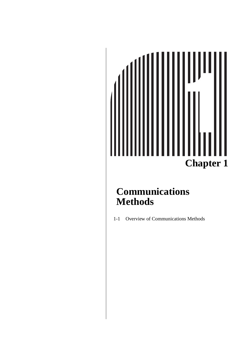# **Chapter 1**

# <span id="page-13-0"></span>**Communications Methods**

[1-1 Overview of Communications Methods](#page-14-0)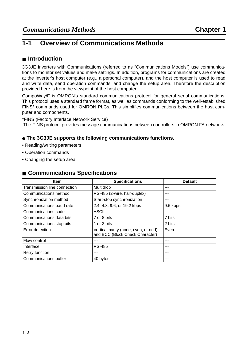#### <span id="page-14-0"></span>**1-1 Overview of Communications Methods**

#### <span id="page-14-4"></span><span id="page-14-1"></span>■ **Introduction**

3G3JE Inverters with Communications (referred to as "Communications Models") use communications to monitor set values and make settings. In addition, programs for communications are created at the Inverter's host computer (e.g., a personal computer), and the host computer is used to read and write data, send operation commands, and change the setup area. Therefore the description provided here is from the viewpoint of the host computer.

CompoWay/F is OMRON's standard communications protocol for general serial communications. This protocol uses a standard frame format, as well as commands conforming to the well-established FINS\* commands used for OMRON PLCs. This simplifies communications between the host computer and components.

\*FINS (Factory Interface Network Service)

<span id="page-14-3"></span>The FINS protocol provides message communications between controllers in OMRON FA networks.

#### ● **The 3G3JE supports the following communications functions.**

- Reading/writing parameters
- Operation commands
- Changing the setup area

#### <span id="page-14-5"></span><span id="page-14-2"></span>■ **Communications Specifications**

| <b>Item</b>                  | <b>Specifications</b>                                                   | <b>Default</b> |
|------------------------------|-------------------------------------------------------------------------|----------------|
| Transmission line connection | Multidrop                                                               |                |
| Communications method        | RS-485 (2-wire, half-duplex)                                            |                |
| Synchronization method       | Start-stop synchronization                                              |                |
| Communications baud rate     | 2.4, 4.8, 9.6, or 19.2 kbps                                             | 9.6 kbps       |
| Communications code          | <b>ASCII</b>                                                            |                |
| Communications data bits     | 7 or 8 bits                                                             | 7 bits         |
| Communications stop bits     | 1 or 2 bits                                                             | 2 bits         |
| Error detection              | Vertical parity (none, even, or odd)<br>and BCC (Block Check Character) | Even           |
| Flow control                 | ---                                                                     |                |
| Interface                    | <b>RS-485</b>                                                           |                |
| Retry function               |                                                                         |                |
| <b>Communications buffer</b> | 40 bytes                                                                |                |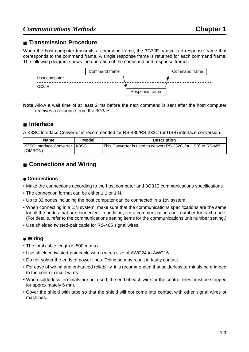#### <span id="page-15-5"></span><span id="page-15-0"></span>■ **Transmission Procedure**

When the host computer transmits a command frame, the 3G3JE transmits a response frame that corresponds to the command frame. A single response frame is returned for each command frame. The following diagram shows the operation of the command and response frames.



**Note** Allow a wait time of at least 2 ms before the next command is sent after the host computer receives a response from the 3G3JE.

#### <span id="page-15-4"></span><span id="page-15-1"></span>■ **Interface**

A K3SC Interface Converter is recommended for RS-485/RS-232C (or USB) interface conversion.

| <b>Name</b>                                | <b>Model</b> | <b>Description</b>                                            |
|--------------------------------------------|--------------|---------------------------------------------------------------|
| K3SC Interface Converter   K3SC<br>(OMRON) |              | This Converter is used to convert RS-232C (or USB) to RS-485. |

#### <span id="page-15-2"></span>■ **Connections and Wiring**

#### <span id="page-15-3"></span>● **Connections**

- Make the connections according to the host computer and 3G3JE communications specifications.
- The connection format can be either 1:1 or 1:N.
- Up to 32 nodes including the host computer can be connected in a 1:N system.
- When connecting in a 1:N system, make sure that the communications specifications are the same for all the nodes that are connected. In addition, set a communications unit number for each node. (For details, refer to the communications setting items for the communications unit number setting.)
- Use shielded twisted-pair cable for RS-485 signal wires.

#### <span id="page-15-6"></span>● **Wiring**

- The total cable length is 500 m max.
- Use shielded twisted-pair cable with a wires size of AWG24 to AWG16.
- Do not solder the ends of power lines. Doing so may result in faulty contact.
- For ease of wiring and enhanced reliability, it is recommended that solderless terminals be crimped to the control circuit wires.
- When solderless terminals are not used, the end of each wire for the control lines must be stripped for approximately 6 mm.
- Cover the shield with tape so that the shield will not come into contact with other signal wires or machines.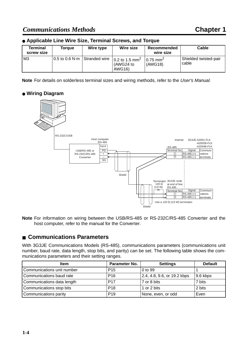#### <span id="page-16-11"></span>● **Applicable Line Wire Size, Terminal Screws, and Torque**

| Terminal<br>screw size | Toraue | Wire type | Wire size                                                                            | Recommended<br>wire size           | Cable                          |
|------------------------|--------|-----------|--------------------------------------------------------------------------------------|------------------------------------|--------------------------------|
| M <sub>3</sub>         |        |           | $10.5$ to 0.6 N·m Stranded wire $10.2$ to 1.5 mm <sup>2</sup><br>(AWG24 to<br>AWG16) | $10.75$ mm <sup>2</sup><br>(AWG18) | Shielded twisted-pair<br>cable |

**Note** For details on solderless terminal sizes and wiring methods, refer to the User's Manual.

#### ● **Wiring Diagram**

<span id="page-16-12"></span>

**Note** For information on wiring between the USB/RS-485 or RS-232C/RS-485 Converter and the host computer, refer to the manual for the Converter.

#### <span id="page-16-0"></span>■ **Communications Parameters**

With 3G3JE Communications Models (RS-485), communications parameters (communications unit number, baud rate, data length, stop bits, and parity) can be set. The following table shows the communications parameters and their setting ranges.

<span id="page-16-10"></span><span id="page-16-9"></span><span id="page-16-8"></span><span id="page-16-7"></span><span id="page-16-6"></span><span id="page-16-5"></span><span id="page-16-4"></span><span id="page-16-3"></span><span id="page-16-2"></span><span id="page-16-1"></span>

| <b>Item</b>                | Parameter No.   | <b>Settings</b>             | <b>Default</b> |
|----------------------------|-----------------|-----------------------------|----------------|
| Communications unit number | P <sub>15</sub> | 0 to 99                     |                |
| Communications baud rate   | P <sub>16</sub> | 2.4, 4.8, 9.6, or 19.2 kbps | 9.6 kbps       |
| Communications data length | <b>P17</b>      | 7 or 8 bits                 | 7 bits         |
| Communications stop bits   | P <sub>18</sub> | 1 or 2 bits                 | 2 bits         |
| Communications parity      | P <sub>19</sub> | None, even, or odd          | Even           |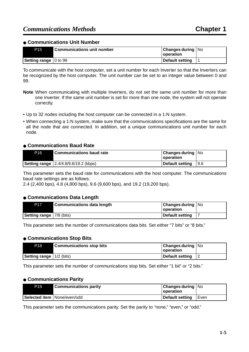#### ● **Communications Unit Number**

| <b>P15</b>              | Communications unit number | <b>Changes during   No</b><br><b>  operation</b> |  |
|-------------------------|----------------------------|--------------------------------------------------|--|
| Setting range   0 to 99 |                            | Default setting                                  |  |

To communicate with the host computer, set a unit number for each Inverter so that the Inverters can be recognized by the host computer. The unit number can be set to an integer value between 0 and 99.

- **Note** When communicating with multiple Inverters, do not set the same unit number for more than one Inverter. If the same unit number is set for more than one node, the system will not operate correctly.
- Up to 32 nodes including the host computer can be connected in a 1:N system.
- When connecting a 1:N system, make sure that the communications specifications are the same for all the node that are connected. In addition, set a unique communications unit number for each node.

#### ● **Communications Baud Rate**

| P <sub>16</sub> | l Communications baud rate                     | <b>Changes during   No</b><br><b>Loperation</b> |             |
|-----------------|------------------------------------------------|-------------------------------------------------|-------------|
|                 | <b>Setting range</b>   2.4/4.8/9.6/19.2 (kbps) | Default setting                                 | <b>19.6</b> |

This parameter sets the baud rate for communications with the host computer. The communications baud rate settings are as follows:

2.4 (2,400 bps), 4.8 (4,800 bps), 9.6 (9,600 bps), and 19.2 (19,200 bps).

#### ● **Communications Data Length**

| P17                               | <b>Communications data length</b> | <b>Changes during   No</b><br><b>Operation</b> |  |
|-----------------------------------|-----------------------------------|------------------------------------------------|--|
| <b>Setting range</b>   7/8 (bits) |                                   | Default setting                                |  |

This parameter sets the number of communications data bits. Set either "7 bits" or "8 bits."

#### ● **Communications Stop Bits**

| <b>P18</b>                      | <b>Communications stop bits</b> | Changes during   No<br>operation |  |
|---------------------------------|---------------------------------|----------------------------------|--|
| <b>Setting range</b> 1/2 (bits) |                                 | Default setting                  |  |

This parameter sets the number of communications stop bits. Set either "1 bit" or "2 bits."

#### ● **Communications Parity**

| P <sub>19</sub> | <b>Communications parity</b>  | Changes during   No<br><b>Loperation</b> |        |
|-----------------|-------------------------------|------------------------------------------|--------|
|                 | Selected item   None/even/odd | Default setting                          | ı Even |

This parameter sets the communications parity. Set the parity to "none," "even," or "odd."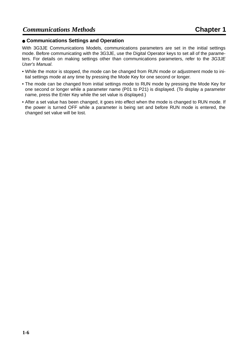#### ● **Communications Settings and Operation**

With 3G3JE Communications Models, communications parameters are set in the initial settings mode. Before communicating with the 3G3JE, use the Digital Operator keys to set all of the parameters. For details on making settings other than communications parameters, refer to the 3G3JE User's Manual.

- While the motor is stopped, the mode can be changed from RUN mode or adjustment mode to initial settings mode at any time by pressing the Mode Key for one second or longer.
- The mode can be changed from initial settings mode to RUN mode by pressing the Mode Key for one second or longer while a parameter name (P01 to P21) is displayed. (To display a parameter name, press the Enter Key while the set value is displayed.)
- After a set value has been changed, it goes into effect when the mode is changed to RUN mode. If the power is turned OFF while a parameter is being set and before RUN mode is entered, the changed set value will be lost.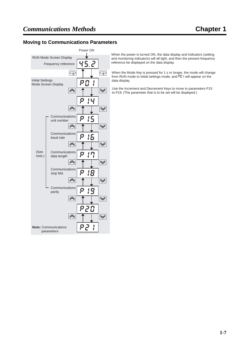#### **Moving to Communications Parameters**



When the power is turned ON, the data display and indicators (setting and monitoring indicators) will all light, and then the present frequency reference be displayed on the data display.

When the Mode Key is pressed for 1 s or longer, the mode will change<br>from RUN mode to initial settings mode, and P*DI* I will appear on the data display.

Use the Increment and Decrement Keys to move to parameters P15 to P19. (The parameter that is to be set will be displayed.)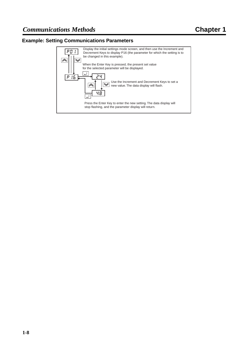#### **Example: Setting Communications Parameters**

![](_page_20_Figure_3.jpeg)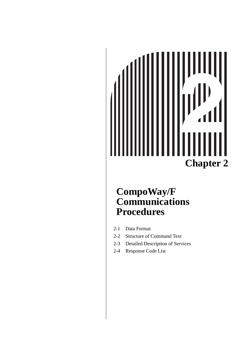# **Chapter 2**

# <span id="page-21-0"></span>**CompoWay/F Communications Procedures**

- [2-1 Data Format](#page-22-0)
- [2-2 Structure of Command Text](#page-27-0)
- [2-3 Detailed Description of Services](#page-29-0)
- [2-4 Response Code List](#page-36-0)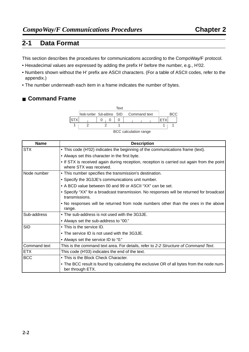#### <span id="page-22-5"></span><span id="page-22-0"></span>**2-1 Data Format**

This section describes the procedures for communications according to the CompoWay/F protocol.

- Hexadecimal values are expressed by adding the prefix H' before the number, e.g., H'02.
- Numbers shown without the H' prefix are ASCII characters. (For a table of ASCII codes, refer to the appendix.)
- The number underneath each item in a frame indicates the number of bytes.

#### <span id="page-22-1"></span>■ **Command Frame**

<span id="page-22-3"></span>![](_page_22_Figure_8.jpeg)

<span id="page-22-4"></span>BCC calculation range

<span id="page-22-10"></span><span id="page-22-9"></span><span id="page-22-8"></span><span id="page-22-7"></span><span id="page-22-6"></span><span id="page-22-2"></span>

| <b>Name</b>  | <b>Description</b>                                                                                                    |
|--------------|-----------------------------------------------------------------------------------------------------------------------|
| <b>STX</b>   | • This code (H'02) indicates the beginning of the communications frame (text).                                        |
|              | • Always set this character in the first byte.                                                                        |
|              | • If STX is received again during reception, reception is carried out again from the point<br>where STX was received. |
| Node number  | • This number specifies the transmission's destination.                                                               |
|              | • Specify the 3G3JE's communications unit number.                                                                     |
|              | • A BCD value between 00 and 99 or ASCII "XX" can be set.                                                             |
|              | • Specify "XX" for a broadcast transmission. No responses will be returned for broadcast<br>transmissions.            |
|              | . No responses will be returned from node numbers other than the ones in the above<br>range.                          |
| Sub-address  | • The sub-address is not used with the 3G3JE.                                                                         |
|              | • Always set the sub-address to "00."                                                                                 |
| <b>SID</b>   | • This is the service ID.                                                                                             |
|              | • The service ID is not used with the 3G3JE.                                                                          |
|              | • Always set the service ID to "0."                                                                                   |
| Command text | This is the command text area. For details, refer to 2-2 Structure of Command Text.                                   |
| <b>ETX</b>   | This code (H'03) indicates the end of the text.                                                                       |
| <b>BCC</b>   | • This is the Block Check Character.                                                                                  |
|              | • The BCC result is found by calculating the exclusive OR of all bytes from the node num-<br>ber through ETX.         |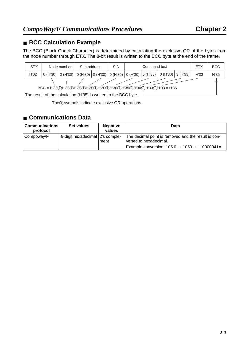#### <span id="page-23-0"></span>■ **BCC Calculation Example**

The BCC (Block Check Character) is determined by calculating the exclusive OR of the bytes from the node number through ETX. The 8-bit result is written to the BCC byte at the end of the frame.

![](_page_23_Figure_4.jpeg)

 $The  $\theta$$  symbols indicate exclusive OR operations.

#### <span id="page-23-2"></span><span id="page-23-1"></span>■ **Communications Data**

| Communications  <br>protocol | Set values                      | <b>Negative</b><br>values | Data                                                                          |
|------------------------------|---------------------------------|---------------------------|-------------------------------------------------------------------------------|
| Compoway/F                   | 8-digit hexadecimal 2's comple- | ment                      | The decimal point is removed and the result is con-<br>verted to hexadecimal. |
|                              |                                 |                           | Example conversion: $105.0 \rightarrow 1050 \rightarrow H'0000041A$           |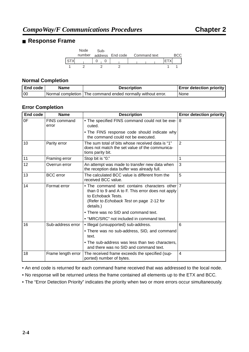#### <span id="page-24-2"></span><span id="page-24-0"></span>■ **Response Frame**

<span id="page-24-1"></span>![](_page_24_Figure_3.jpeg)

#### **Normal Completion**

| End code | <b>Name</b> | <b>Description</b>                                          | <b>Error detection priority</b> |
|----------|-------------|-------------------------------------------------------------|---------------------------------|
| l 00     |             | Normal completion The command ended normally without error. | None                            |

#### **Error Completion**

| End code | <b>Name</b>           | <b>Description</b>                                                                                                                                                                 | <b>Error detection priority</b> |
|----------|-----------------------|------------------------------------------------------------------------------------------------------------------------------------------------------------------------------------|---------------------------------|
| 0F       | FINS command<br>error | . The specified FINS command could not be exe-<br>cuted.                                                                                                                           | 8                               |
|          |                       | • The FINS response code should indicate why<br>the command could not be executed.                                                                                                 |                                 |
| 10       | Parity error          | The sum total of bits whose received data is "1"<br>does not match the set value of the communica-<br>tions parity bit.                                                            | $\overline{2}$                  |
| 11       | Framing error         | Stop bit is "0."                                                                                                                                                                   | 1                               |
| 12       | Overrun error         | An attempt was made to transfer new data when<br>the reception data buffer was already full.                                                                                       | 3                               |
| 13       | <b>BCC</b> error      | The calculated BCC value is different from the<br>received BCC value.                                                                                                              | 5                               |
| 14       | Format error          | • The command text contains characters other 7<br>than 0 to 9 and A to F. This error does not apply<br>to Echoback Tests.<br>(Refer to Echoback Test on page 2-12 for<br>details.) |                                 |
|          |                       | • There was no SID and command text.                                                                                                                                               |                                 |
|          |                       | • "MRC/SRC" not included in command text.                                                                                                                                          |                                 |
| 16       | Sub-address error     | • Illegal (unsupported) sub-address.                                                                                                                                               | 6                               |
|          |                       | • There was no sub-address, SID, and command<br>text.                                                                                                                              |                                 |
|          |                       | • The sub-address was less than two characters,<br>and there was no SID and command text.                                                                                          |                                 |
| 18       | Frame length error    | The received frame exceeds the specified (sup-<br>ported) number of bytes.                                                                                                         | 4                               |

• An end code is returned for each command frame received that was addressed to the local node.

• No response will be returned unless the frame contained all elements up to the ETX and BCC.

• The "Error Detection Priority" indicates the priority when two or more errors occur simultaneously.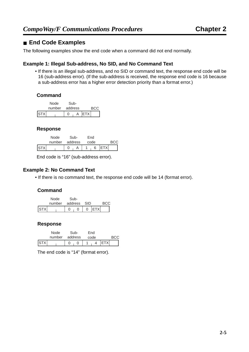#### <span id="page-25-0"></span>■ **End Code Examples**

The following examples show the end code when a command did not end normally.

#### **Example 1: Illegal Sub-address, No SID, and No Command Text**

• If there is an illegal sub-address, and no SID or command text, the response end code will be 16 (sub-address error). (If the sub-address is received, the response end code is 16 because a sub-address error has a higher error detection priority than a format error.)

#### **Command**

![](_page_25_Figure_7.jpeg)

#### **Response**

|              | Node   | Sub-    | End  |  |
|--------------|--------|---------|------|--|
|              | number | address | code |  |
| <b>ISTXI</b> |        |         |      |  |

End code is "16" (sub-address error).

#### **Example 2: No Command Text**

• If there is no command text, the response end code will be 14 (format error).

#### **Command**

|             | Node               | Sub- |                  |   |              |      |  |
|-------------|--------------------|------|------------------|---|--------------|------|--|
|             | number address SID |      |                  |   |              | BCC. |  |
| <b>ISTX</b> |                    |      | $\left( \right)$ | 0 | <b>IETXI</b> |      |  |

#### **Response**

|     | Node | Sub-           | End  |             |
|-----|------|----------------|------|-------------|
|     |      | number address | code | BCC.        |
| STX |      |                |      | <b>ETXI</b> |

The end code is "14" (format error).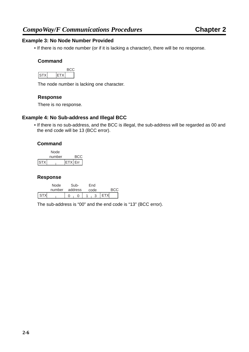#### **Example 3: No Node Number Provided**

• If there is no node number (or if it is lacking a character), there will be no response.

#### **Command**

| ., | W |  |
|----|---|--|

The node number is lacking one character.

#### **Response**

There is no response.

#### **Example 4: No Sub-address and Illegal BCC**

• If there is no sub-address, and the BCC is illegal, the sub-address will be regarded as 00 and the end code will be 13 (BCC error).

#### **Command**

![](_page_26_Figure_12.jpeg)

#### **Response**

|       | Node | Sub-           | Fnd  |            |
|-------|------|----------------|------|------------|
|       |      | number address | code |            |
| I STX |      | 0<br>$\Omega$  |      | <b>ETX</b> |

The sub-address is "00" and the end code is "13" (BCC error).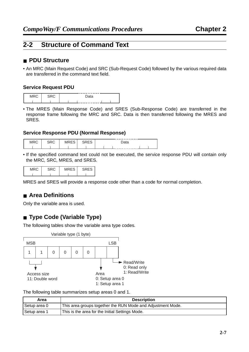#### <span id="page-27-5"></span><span id="page-27-0"></span>**2-2 Structure of Command Text**

#### <span id="page-27-6"></span><span id="page-27-1"></span>■ **PDU Structure**

• An MRC (Main Request Code) and SRC (Sub-Request Code) followed by the various required data are transferred in the command text field.

#### **Service Request PDU**

![](_page_27_Figure_6.jpeg)

• The MRES (Main Response Code) and SRES (Sub-Response Code) are transferred in the response frame following the MRC and SRC. Data is then transferred following the MRES and SRES.

#### **Service Response PDU (Normal Response)**

|  |  | --------------- |
|--|--|-----------------|
|  |  | --------------- |

• If the specified command text could not be executed, the service response PDU will contain only the MRC, SRC, MRES, and SRES.

| MDC | $\sim$<br>. . | ニロー・ |
|-----|---------------|------|
|     |               |      |

MRES and SRES will provide a response code other than a code for normal completion.

#### <span id="page-27-4"></span><span id="page-27-2"></span>■ **Area Definitions**

Only the variable area is used.

#### <span id="page-27-3"></span>■ **Type Code (Variable Type)**

<span id="page-27-7"></span>The following tables show the variable area type codes.

![](_page_27_Figure_17.jpeg)

The following table summarizes setup areas 0 and 1.

| Area         | <b>Description</b>                                          |  |  |
|--------------|-------------------------------------------------------------|--|--|
| Setup area 0 | This area groups together the RUN Mode and Adjustment Mode. |  |  |
| Setup area 1 | This is the area for the Initial Settings Mode.             |  |  |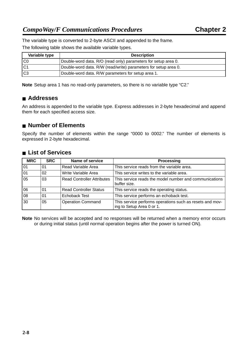The variable type is converted to 2-byte ASCII and appended to the frame.

The following table shows the available variable types.

| Variable type | <b>Description</b>                                              |  |  |
|---------------|-----------------------------------------------------------------|--|--|
| l C0          | Double-word data. R/O (read only) parameters for setup area 0.  |  |  |
| IC1           | Double-word data. R/W (read/write) parameters for setup area 0. |  |  |
| lC3           | Double-word data. R/W parameters for setup area 1.              |  |  |

**Note** Setup area 1 has no read-only parameters, so there is no variable type "C2."

#### <span id="page-28-0"></span>■ **Addresses**

<span id="page-28-3"></span>An address is appended to the variable type. Express addresses in 2-byte hexadecimal and append them for each specified access size.

#### <span id="page-28-1"></span>■ **Number of Elements**

<span id="page-28-5"></span><span id="page-28-4"></span>Specify the number of elements within the range "0000 to 0002." The number of elements is expressed in 2-byte hexadecimal.

#### <span id="page-28-6"></span><span id="page-28-2"></span>■ **List of Services**

| <b>MRC</b>             | <b>SRC</b> | Name of service                   | <b>Processing</b>                                                                     |
|------------------------|------------|-----------------------------------|---------------------------------------------------------------------------------------|
| 01                     | 01         | Read Variable Area                | This service reads from the variable area.                                            |
| 01                     | 02         | Write Variable Area               | This service writes to the variable area.                                             |
| 05                     | 03         | <b>Read Controller Attributes</b> | This service reads the model number and communications<br>buffer size.                |
| 06                     | 01         | <b>Read Controller Status</b>     | This service reads the operating status.                                              |
| $\overline{\text{08}}$ | 01         | <b>Echoback Test</b>              | This service performs an echoback test.                                               |
| 30                     | 05         | <b>Operation Command</b>          | This service performs operations such as resets and mov-<br>ing to Setup Area 0 or 1. |

**Note** No services will be accepted and no responses will be returned when a memory error occurs or during initial status (until normal operation begins after the power is turned ON).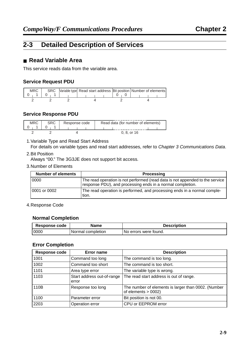#### <span id="page-29-3"></span><span id="page-29-0"></span>**2-3 Detailed Description of Services**

#### <span id="page-29-4"></span><span id="page-29-2"></span><span id="page-29-1"></span>■ **Read Variable Area**

This service reads data from the variable area.

#### **Service Request PDU**

| MRC |  |  | SRC  Variable type  Read start address  Bit position   Number of elements |
|-----|--|--|---------------------------------------------------------------------------|
|     |  |  |                                                                           |
|     |  |  |                                                                           |

#### **Service Response PDU**

| MRC | Response code | Read data (for number of elements) |
|-----|---------------|------------------------------------|
|     |               | $0, 8,$ or 16                      |

#### 1.Variable Type and Read Start Address

For details on variable types and read start addresses, refer to [Chapter 3 Communications Data](#page-37-1).

2.Bit Position

Always "00." The 3G3JE does not support bit access.

3.Number of Elements

| <b>Number of elements</b> | <b>Processing</b>                                                                                                                           |
|---------------------------|---------------------------------------------------------------------------------------------------------------------------------------------|
| 0000                      | The read operation is not performed (read data is not appended to the service<br>response PDU), and processing ends in a normal completion. |
| 0001 or 0002              | The read operation is performed, and processing ends in a normal comple-<br>tion.                                                           |

#### 4.Response Code

#### **Normal Completion**

| Response code | Name              | <b>Description</b>      |
|---------------|-------------------|-------------------------|
| 0000          | Normal completion | l No errors were found. |

#### **Error Completion**

| <b>Response code</b> | Error name                          | <b>Description</b>                                                            |
|----------------------|-------------------------------------|-------------------------------------------------------------------------------|
| 1001                 | Command too long                    | The command is too long.                                                      |
| 1002                 | Command too short                   | The command is too short.                                                     |
| 1101                 | Area type error                     | The variable type is wrong.                                                   |
| 1103                 | Start address out-of-range<br>error | The read start address is out of range.                                       |
| 110B                 | Response too long                   | The number of elements is larger than 0002. (Number<br>of elements $> 0002$ ) |
| 1100                 | Parameter error                     | Bit position is not 00.                                                       |
| 2203                 | Operation error                     | CPU or EEPROM error                                                           |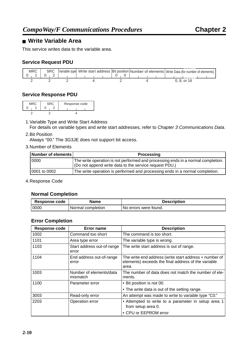#### <span id="page-30-1"></span><span id="page-30-0"></span>■ **Write Variable Area**

This service writes data to the variable area.

#### **Service Request PDU**

![](_page_30_Figure_5.jpeg)

#### **Service Response PDU**

| <b>MRC</b> | <b>SRC</b> | Response code |
|------------|------------|---------------|
|            |            |               |
|            |            |               |

1.Variable Type and Write Start Address

For details on variable types and write start addresses, refer to Chapter 3 [Communications Data](#page-37-1).

#### 2.Bit Position

Always "00." The 3G3JE does not support bit access.

#### 3.Number of Elements

| Number of elements | <b>Processing</b>                                                                                                                          |
|--------------------|--------------------------------------------------------------------------------------------------------------------------------------------|
| 0000               | The write operation is not performed and processing ends in a normal completion.<br>(Do not append write data to the service request PDU.) |
| 0001 to 0002       | The write operation is performed and processing ends in a normal completion.                                                               |

4.Response Code

#### **Normal Completion**

| Response code | Name              | <b>Description</b>      |
|---------------|-------------------|-------------------------|
| 0000          | Normal completion | l No errors were found. |

#### **Error Completion**

| Response code | <b>Error name</b>                   | <b>Description</b>                                                                                                     |
|---------------|-------------------------------------|------------------------------------------------------------------------------------------------------------------------|
| 1002          | Command too short                   | The command is too short.                                                                                              |
| 1101          | Area type error                     | The variable type is wrong.                                                                                            |
| 1103          | Start address out-of-range<br>error | The write start address is out of range.                                                                               |
| 1104          | End address out-of-range<br>error   | The write end address (write start address + number of<br>elements) exceeds the final address of the variable<br>area. |
| 1003          | Number of elements/data<br>mismatch | The number of data does not match the number of ele-<br>ments.                                                         |
| 1100          | Parameter error                     | • Bit position is not 00.                                                                                              |
|               |                                     | • The write data is out of the setting range.                                                                          |
| 3003          | Read-only error                     | An attempt was made to write to variable type "C0."                                                                    |
| 2203          | Operation error                     | • Attempted to write to a parameter in setup area 1<br>from setup area 0.                                              |
|               |                                     | • CPU or EEPROM error                                                                                                  |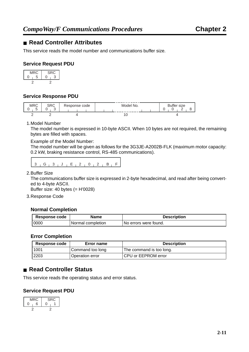#### <span id="page-31-4"></span><span id="page-31-2"></span><span id="page-31-0"></span>■ **Read Controller Attributes**

This service reads the model number and communications buffer size.

#### **Service Request PDU**

| MRC | SRC |
|-----|-----|
| 5   |     |
|     |     |

#### **Service Response PDU**

| <b>MRC</b><br>- | CDC<br>טווט<br>⌒<br>$\overline{\phantom{a}}$ | Response code | .<br>Model<br>'No.   | size<br>- |
|-----------------|----------------------------------------------|---------------|----------------------|-----------|
|                 |                                              |               | .<br>$\cdot$ $\circ$ |           |

1.Model Number

The model number is expressed in 10-byte ASCII. When 10 bytes are not required, the remaining bytes are filled with spaces.

Example of the Model Number:

The model number will be given as follows for the 3G3JE-A2002B-FLK (maximum motor capacity: 0.2 kW, braking resistance control, RS-485 communications).

٦

| $\sim$<br>, J, E, 2, 1 |  |
|------------------------|--|
|------------------------|--|

2.Buffer Size

 $\blacksquare$ 

The communications buffer size is expressed in 2-byte hexadecimal, and read after being converted to 4-byte ASCII.

Buffer size: 40 bytes (= H'0028)

3.Response Code

#### **Normal Completion**

| <b>Response code</b> | <b>Name</b>       | <b>Description</b>    |
|----------------------|-------------------|-----------------------|
| 0000                 | Normal completion | No errors were found. |

#### **Error Completion**

<span id="page-31-3"></span>

| Response code | Error name       | <b>Description</b>       |
|---------------|------------------|--------------------------|
| 1001          | Command too long | The command is too long. |
| 2203          | Operation error  | CPU or EEPROM error      |

#### <span id="page-31-5"></span><span id="page-31-1"></span>■ **Read Controller Status**

This service reads the operating status and error status.

#### **Service Request PDU**

![](_page_31_Figure_24.jpeg)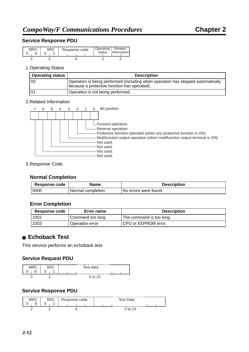#### **Service Response PDU**

| MRC | Response code | Operating  <br>status | Related<br>linformation |
|-----|---------------|-----------------------|-------------------------|
|     |               |                       |                         |

#### 1.Operating Status

| <b>Operating status</b> | <b>Description</b>                                                                                                               |
|-------------------------|----------------------------------------------------------------------------------------------------------------------------------|
| 00                      | Operation is being performed (including when operation has stopped automatically<br>because a protective function has operated). |
| 0 <sup>1</sup>          | Operation is not being performed.                                                                                                |

#### 2.Related Information

|  | 5 | 3 | 2 1 | Bit position                                                                                                                                                                                                   |
|--|---|---|-----|----------------------------------------------------------------------------------------------------------------------------------------------------------------------------------------------------------------|
|  |   |   |     |                                                                                                                                                                                                                |
|  |   |   |     | $\sqcup$ Forward operation<br>Reverse operation<br>Protective function operated (when any protective function is ON)<br>Multifunction output operation (when multifunction output terminal is ON)<br>Not used. |
|  |   |   |     | Not used.<br>Not used.<br>Not used.                                                                                                                                                                            |

#### 3.Response Code

#### **Normal Completion**

| <b>Response code</b> | <b>Name</b>       | <b>Description</b>      |
|----------------------|-------------------|-------------------------|
| 0000                 | Normal completion | l No errors were found. |

#### **Error Completion**

| <b>Response code</b> | Error name       | <b>Description</b>         |
|----------------------|------------------|----------------------------|
| 1001                 | Command too long | The command is too long.   |
| 2203                 | Operation error  | <b>CPU or EEPROM error</b> |

#### <span id="page-32-0"></span>■ **Echoback Test**

<span id="page-32-1"></span>This service performs an echoback test.

#### **Service Request PDU**

![](_page_32_Figure_16.jpeg)

#### **Service Response PDU**

| <b>MR</b> | ∩n∩ | sponse code | Toet Data |  |  |
|-----------|-----|-------------|-----------|--|--|
|           |     |             |           |  |  |
|           |     |             |           |  |  |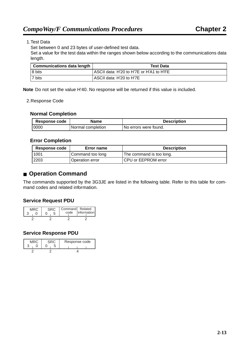#### 1.Test Data

Set between 0 and 23 bytes of user-defined test data.

Set a value for the test data within the ranges shown below according to the communications data length.

| <b>Communications data length</b> | <b>Test Data</b>                         |  |
|-----------------------------------|------------------------------------------|--|
| 8 bits                            | ASCII data: H'20 to H'7E or H'A1 to H'FE |  |
| I 7 bits                          | ASCII data: H'20 to H'7E                 |  |

**Note** Do not set the value H'40. No response will be returned if this value is included.

#### 2.Response Code

#### **Normal Completion**

| Response code | <b>Name</b>       | <b>Description</b>      |
|---------------|-------------------|-------------------------|
| 0000          | Normal completion | l No errors were found. |

#### **Error Completion**

| <b>Response code</b> | Error name       | <b>Description</b>       |
|----------------------|------------------|--------------------------|
| 1001                 | Command too long | The command is too long. |
| 2203                 | Operation error  | CPU or EEPROM error      |

#### <span id="page-33-1"></span><span id="page-33-0"></span>■ **Operation Command**

The commands supported by the 3G3JE are listed in the following table. Refer to this table for command codes and related information.

#### **Service Request PDU**

| MRC |  | code | Command Related<br><i>information</i> |
|-----|--|------|---------------------------------------|
|     |  |      |                                       |

#### **Service Response PDU**

| MRC | 3RC. |  | Response code |
|-----|------|--|---------------|
|     |      |  |               |
|     |      |  |               |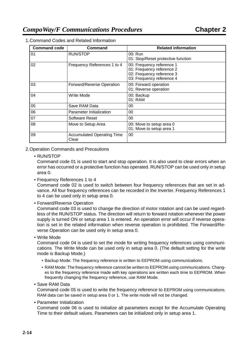| <b>Command code</b> | Command                                    | <b>Related information</b>                                                                                       |
|---------------------|--------------------------------------------|------------------------------------------------------------------------------------------------------------------|
| 01                  | <b>RUN/STOP</b>                            | 00: Run<br>01: Stop/Reset protective function                                                                    |
| 02                  | Frequency References 1 to 4                | 00: Frequency reference 1<br>01: Frequency reference 2<br>02: Frequency reference 3<br>03: Frequency reference 4 |
| 03                  | Forward/Reverse Operation                  | 00: Forward operation<br>01: Reverse operation                                                                   |
| 04                  | Write Mode                                 | 00: Backup<br>01: RAM                                                                                            |
| 05                  | Save RAM Data                              | 00                                                                                                               |
| 06                  | Parameter Initialization                   | 00                                                                                                               |
| 07                  | Software Reset                             | 00                                                                                                               |
| 08                  | Move to Setup Area                         | 00: Move to setup area 0<br>01: Move to setup area 1                                                             |
| 09                  | <b>Accumulated Operating Time</b><br>Clear | 00                                                                                                               |

1.Command Codes and Related Information

#### 2.Operation Commands and Precautions

#### • RUN/STOP

Command code 01 is used to start and stop operation. It is also used to clear errors when an error has occurred or a protective function has operated. RUN/STOP can be used only in setup area 0.

• Frequency References 1 to 4

Command code 02 is used to switch between four frequency references that are set in advance. All four frequency references can be recorded in the Inverter. Frequency References 1 to 4 can be used only in setup area 0.

• Forward/Reverse Operation

Command code 03 is used to change the direction of motor rotation and can be used regardless of the RUN/STOP status. The direction will return to forward rotation whenever the power supply is turned ON or setup area 1 is entered. An operation error will occur if reverse operation is set in the related information when reverse operation is prohibited. The Forward/Reverse Operation can be used only in setup area 0.

• Write Mode

Command code 04 is used to set the mode for writing frequency references using communications. The Write Mode can be used only in setup area 0. (The default setting for the write mode is Backup Mode.)

- <span id="page-34-0"></span>• Backup Mode: The frequency reference is written to EEPROM using communications.
- RAM Mode: The frequency reference cannot be written to EEPROM using communications. Changes to the frequency reference made with key operations are written each time to EEPROM. When frequently changing the frequency reference, use RAM Mode.

• Save RAM Data

Command code 05 is used to write the frequency reference to EEPROM using communications. RAM data can be saved in setup area 0 or 1. The write mode will not be changed.

• Parameter Initialization

Command code 06 is used to initialize all parameters except for the Accumulate Operating Time to their default values. Parameters can be initialized only in setup area 1.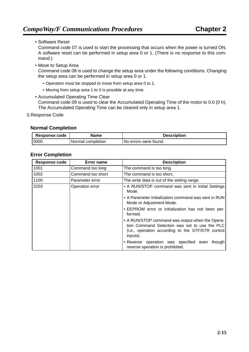• Software Reset

Command code 07 is used to start the processing that occurs when the power is turned ON. A software reset can be performed in setup area 0 or 1. (There is no response to this command.)

• Move to Setup Area

Command code 08 is used to change the setup area under the following conditions. Changing the setup area can be performed in setup area 0 or 1.

- Operation must be stopped to move from setup area 0 to 1.
- Moving from setup area 1 to 0 is possible at any time.
- Accumulated Operating Time Clear Command code 09 is used to clear the Accumulated Operating Time of the motor to 0.0 (0 h). The Accumulated Operating Time can be cleared only in setup area 1.
- 3.Response Code

#### **Normal Completion**

| Response code | Name              | <b>Description</b>     |
|---------------|-------------------|------------------------|
| 0000          | Normal completion | Tho errors were found. |

#### **Error Completion**

| <b>Response code</b>    | Error name        | <b>Description</b>                                                                                                                                                |
|-------------------------|-------------------|-------------------------------------------------------------------------------------------------------------------------------------------------------------------|
| 1001                    | Command too long  | The command is too long.                                                                                                                                          |
| 1002                    | Command too short | The command is too short.                                                                                                                                         |
| 1100                    | Parameter error   | The write data is out of the setting range.                                                                                                                       |
| 2203<br>Operation error |                   | • A RUN/STOP command was sent in Initial Settings<br>Mode.                                                                                                        |
|                         |                   | • A Parameter Initialization command was sent in RUN<br>Mode or Adjustment Mode.                                                                                  |
|                         |                   | • EEPROM error or initialization has not been per-<br>formed.                                                                                                     |
|                         |                   | • A RUN/STOP command was output when the Opera-<br>tion Command Selection was set to use the PLC<br>(i.e., operation according to the STF/STR control<br>inputs). |
|                         |                   | • Reverse operation was specified even<br>though<br>reverse operation is prohibited.                                                                              |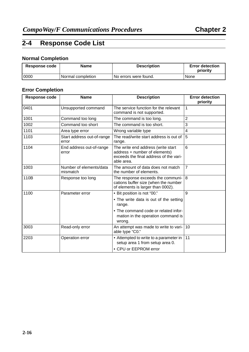#### <span id="page-36-1"></span><span id="page-36-0"></span>**2-4 Response Code List**

#### **Normal Completion**

| <b>Response code</b> | <b>Name</b>       | <b>Description</b>     | <b>Error detection</b><br>priority |
|----------------------|-------------------|------------------------|------------------------------------|
| 0000                 | Normal completion | TNo errors were found. | None                               |

#### **Error Completion**

| <b>Response code</b> | <b>Name</b>                         | <b>Description</b>                                                                                                          | <b>Error detection</b><br>priority |
|----------------------|-------------------------------------|-----------------------------------------------------------------------------------------------------------------------------|------------------------------------|
| 0401                 | Unsupported command                 | The service function for the relevant<br>command is not supported.                                                          | $\mathbf{1}$                       |
| 1001                 | Command too long                    | The command is too long.                                                                                                    | $\overline{2}$                     |
| 1002                 | Command too short                   | The command is too short.                                                                                                   | 3                                  |
| 1101                 | Area type error                     | Wrong variable type                                                                                                         | 4                                  |
| 1103                 | Start address out-of-range<br>error | The read/write start address is out of<br>range.                                                                            | 5                                  |
| 1104                 | End address out-of-range<br>error   | The write end address (write start<br>address + number of elements)<br>exceeds the final address of the vari-<br>able area. | 6                                  |
| 1003                 | Number of elements/data<br>mismatch | The amount of data does not match<br>the number of elements.                                                                | $\overline{7}$                     |
| 110B                 | Response too long                   | The response exceeds the communi-<br>cations buffer size (when the number<br>of elements is larger than 0002).              | 8                                  |
| 1100                 | Parameter error                     | • Bit position is not "00."                                                                                                 | $\mathbf{Q}$                       |
|                      |                                     | • The write data is out of the setting<br>range.                                                                            |                                    |
|                      |                                     | • The command code or related infor-<br>mation in the operation command is<br>wrong.                                        |                                    |
| 3003                 | Read-only error                     | An attempt was made to write to vari-<br>able type "C0."                                                                    | 10                                 |
| 2203                 | Operation error                     | • Attempted to write to a parameter in<br>setup area 1 from setup area 0.<br>• CPU or EEPROM error                          | 11                                 |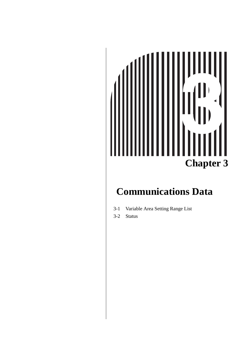# $\blacktriangleleft$ **Chapter 3**

# <span id="page-37-1"></span><span id="page-37-0"></span>**Communications Data**

- [3-1 Variable Area Setting Range List](#page-38-0)
- [3-2 Status](#page-40-0)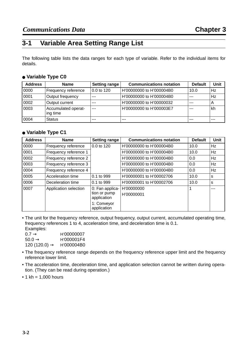#### <span id="page-38-0"></span>**3-1 Variable Area Setting Range List**

<span id="page-38-1"></span>The following table lists the data ranges for each type of variable. Refer to the individual items for details.

#### ● **Variable Type C0**

| <b>Address</b> | <b>Name</b>                     | <b>Setting range</b> | <b>Communications notation</b> | <b>Default</b> | Unit    |
|----------------|---------------------------------|----------------------|--------------------------------|----------------|---------|
| 0000           | Frequency reference             | 0.0 to 120           | H'00000000 to H'000004B0       | 10.0           | Hz      |
| 0001           | Output frequency                | $- - -$              | H'00000000 to H'000004B0       | $---$          | Hz      |
| 0002           | Output current                  | ---                  | H'00000000 to H'00000032       | $- - -$        | A       |
| 0003           | Accumulated operat-<br>ing time | $---$                | H'00000000 to H'000003E7       | $- - -$        | kh      |
| 0004           | <b>Status</b>                   | ---                  | $- - -$                        | $- - -$        | $- - -$ |

#### ● **Variable Type C1**

| <b>Address</b> | <b>Name</b>           | <b>Setting range</b>                                                         | <b>Communications notation</b> | <b>Default</b> | <b>Unit</b> |
|----------------|-----------------------|------------------------------------------------------------------------------|--------------------------------|----------------|-------------|
| 0000           | Frequency reference   | 0.0 to 120                                                                   | H'00000000 to H'000004B0       | 10.0           | Hz          |
| 0001           | Frequency reference 1 |                                                                              | H'00000000 to H'000004B0       | 10.0           | Hz          |
| 0002           | Frequency reference 2 |                                                                              | H'00000000 to H'000004B0       | 0.0            | Hz          |
| 0003           | Frequency reference 3 |                                                                              | H'00000000 to H'000004B0       | 0.0            | Hz          |
| 0004           | Frequency reference 4 |                                                                              | H'00000000 to H'000004B0       | 0.0            | Hz          |
| 0005           | Acceleration time     | 0.1 to 999                                                                   | H'00000001 to H'00002706       | 10.0           | s           |
| 0006           | Deceleration time     | 0.1 to 999                                                                   | H'00000001 to H'00002706       | 10.0           | s           |
| 0007           | Application selection | 0: Fan applica-<br>tion or pump<br>application<br>1: Conveyor<br>application | H'00000000<br>H'00000001       |                | $- - -$     |

• The unit for the frequency reference, output frequency, output current, accumulated operating time, frequency references 1 to 4, acceleration time, and deceleration time is 0.1. Examples:

| _________<br>$0.7 \rightarrow$ | H'00000007 |
|--------------------------------|------------|
| 50.0 $\rightarrow$             | H'000001F4 |
| 120 (120.0) $\rightarrow$      | H'000004B0 |

- The frequency reference range depends on the frequency reference upper limit and the frequency reference lower limit.
- The acceleration time, deceleration time, and application selection cannot be written during operation. (They can be read during operation.)
- $\cdot$  1 kh = 1,000 hours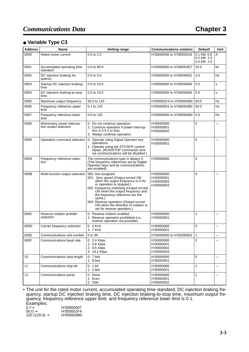#### ● **Variable Type C3**

| <b>Address</b> | <b>Name</b>                                         | <b>Setting range</b>                                                                                                                                                                                                                                                                                                                                                 | <b>Communications notation</b>                       | <b>Default</b>                                  | Unit |
|----------------|-----------------------------------------------------|----------------------------------------------------------------------------------------------------------------------------------------------------------------------------------------------------------------------------------------------------------------------------------------------------------------------------------------------------------------------|------------------------------------------------------|-------------------------------------------------|------|
| 0000           | Rated motor current                                 | 0.0 to 2.5                                                                                                                                                                                                                                                                                                                                                           | H'00000000 to H'00000019                             | $0.1$ kW: $0.6$<br>$0.2$ kW: 1.0<br>0.4 kW: 2.0 | A    |
| 0001           | Accumulated operating time<br>standard              | 0.0 to 99.9                                                                                                                                                                                                                                                                                                                                                          | H'00000000 to H'000003E7                             | 20.0                                            | kh   |
| 0002           | DC injection braking fre-<br>quency                 | $0.0$ to $5.0$                                                                                                                                                                                                                                                                                                                                                       | H'00000000 to H'00000032                             | 3.0                                             | Hz   |
| 0003           | Startup DC injection braking<br>time                | 0.0 to 10.0                                                                                                                                                                                                                                                                                                                                                          | H'00000000 to H'00000064                             | 0.0                                             | s    |
| 0004           | DC injection braking-to-stop<br>time                | 0.0 to 10.0                                                                                                                                                                                                                                                                                                                                                          | H'00000000 to H'00000064                             | 0.5                                             | s    |
| 0005           | Maximum output frequency                            | 50.0 to 120                                                                                                                                                                                                                                                                                                                                                          | H'000001F4 to H'000004B0                             | 60.0                                            | Hz   |
| 0006           | Frequency reference upper<br>limit                  | 0.1 to 120                                                                                                                                                                                                                                                                                                                                                           | H'00000001 to H'000004B0                             | 60.0                                            | Hz   |
| 0007           | Frequency reference lower<br>limit                  | 0.0 to 120                                                                                                                                                                                                                                                                                                                                                           | H'00000000 to H'000004B0                             | 0.0                                             | Hz   |
| 0008           | Momentary power interrup-<br>tion restart selection | 0: Do not continue operation.<br>1: Continue operation if power interrup-<br>tion is 0.5 s or less.<br>2: Always continue operation.                                                                                                                                                                                                                                 | H'00000000<br>H'00000001<br>H'00000002               | 0                                               | ---  |
| 0009           | Operation command selection                         | 0: Operate using Digital Operator key<br>operations.<br>1: Operate using the STF/SFR control<br>inputs. (RUN/STOP commands sent<br>via communications will be disabled.)                                                                                                                                                                                             | H'00000000<br>H'00000001                             | 0                                               | ---  |
| 000A           | Frequency reference selec-<br>tion                  | The communications type is always 0.<br>(The frequency references set by Digital<br>Operator keys and by communications<br>are enabled).                                                                                                                                                                                                                             | H'00000000                                           | 0                                               |      |
| 000B           | Multi-function output selection                     | 000: Not assigned.<br>001: Zero speed (Output turned ON<br>when the output frequency is 0 Hz<br>or operation is stopped.)<br>002: Frequency matching (Output turned<br>ON when the output frequency and<br>the frequency reference are the<br>same.)<br>003: Reverse operation (Output turned<br>ON when the direction of rotation is<br>set for reverse operation.) | H'00000000<br>H'00000001<br>H'00000002<br>H'00000003 | 0                                               | ---  |
| 000C           | Reverse rotation prohibit<br>selection              | 0: Reverse rotation enabled.<br>1: Reverse operation prohibited (i.e.,<br>reverse operation not possible).                                                                                                                                                                                                                                                           | H'00000000<br>H'00000001                             | 1                                               | ---  |
| 000D           | Carrier frequency selection                         | $0: 4$ KHz<br>1: 7 KHz                                                                                                                                                                                                                                                                                                                                               | H'00000000<br>H'00000001                             | 0                                               | ---  |
| 000E           | Communications unit number                          | 0 to 99                                                                                                                                                                                                                                                                                                                                                              | H'00000000 to H'00000063                             | 1                                               | ---  |
| 000F           | Communications baud rate                            | 0: 2.4 Kbps<br>1: 4.8 Kbps<br>2: 9.6 Kbps<br>3: 19.2 Kbps                                                                                                                                                                                                                                                                                                            | H'00000000<br>H'00000001<br>H'00000002<br>H'00000003 | $\overline{2}$                                  | ---  |
| 10             | Communications data length                          | 0: 7 bits<br>1:8 bits                                                                                                                                                                                                                                                                                                                                                | H'00000000<br>H'00000001                             | $\pmb{0}$                                       | ---  |
| 11             | Communications stop bit                             | 0: 1 bit<br>1: $2 bits$                                                                                                                                                                                                                                                                                                                                              | H'00000000<br>H'00000001                             | $\mathbf{1}$                                    | ---  |
| 12             | Communications parity                               | 0: None<br>1: Even<br>2: Odd                                                                                                                                                                                                                                                                                                                                         | H'00000000<br>H'00000001<br>H'00000002               | $\mathbf{1}$                                    | ---  |

• The unit for the rated motor current, accumulated operating time standard, DC injection braking frequency, startup DC injection braking time, DC injection braking-to-stop time, maximum output frequency, frequency reference upper limit, and frequency reference lower limit is 0.1. Examples:

| LAUTIPIUU.                |            |
|---------------------------|------------|
| $0.7 \rightarrow$         | H'00000007 |
| $50.0 \rightarrow$        | H'000001F4 |
| 120 (120.0) $\rightarrow$ | H'000004B0 |
|                           |            |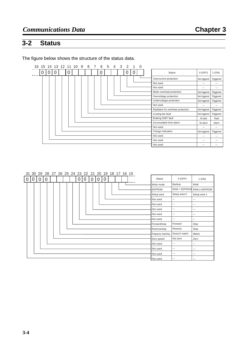# <span id="page-40-1"></span><span id="page-40-0"></span>**3-2 Status**

The figure below shows the structure of the status data.

| 16 15 14 13 12 11 10 |   |          |          |  |   |  | 9 | 8 | 6 | 5 | 4 | 3 | 2 |   | 0 |                                   |                          |           |
|----------------------|---|----------|----------|--|---|--|---|---|---|---|---|---|---|---|---|-----------------------------------|--------------------------|-----------|
|                      | 0 | $\Omega$ | $\Omega$ |  | 0 |  |   |   | 0 |   |   |   | U | C |   | <b>Status</b>                     | $0$ (OFF)                | $1$ (ON)  |
|                      |   |          |          |  |   |  |   |   |   |   |   |   |   |   |   | Overcurrent protection            | Not triggered            | Triggered |
|                      |   |          |          |  |   |  |   |   |   |   |   |   |   |   |   | Not used.                         | $\overline{\phantom{a}}$ | $---$     |
|                      |   |          |          |  |   |  |   |   |   |   |   |   |   |   |   | Not used.                         | $\overline{\phantom{a}}$ | $---$     |
|                      |   |          |          |  |   |  |   |   |   |   |   |   |   |   |   | Motor overload protection         | Not triggered            | Triggered |
|                      |   |          |          |  |   |  |   |   |   |   |   |   |   |   |   | Overvoltage protection            | Not triggered            | Triggered |
|                      |   |          |          |  |   |  |   |   |   |   |   |   |   |   |   | Undervoltage protection           | Not triggered            | Triggered |
|                      |   |          |          |  |   |  |   |   |   |   |   |   |   |   |   | Not used.                         | $\overline{\phantom{a}}$ | $---$     |
|                      |   |          |          |  |   |  |   |   |   |   |   |   |   |   |   | Radiation fin overheat protection | Not triggered            | Triggered |
|                      |   |          |          |  |   |  |   |   |   |   |   |   |   |   |   | Cooling fan fault                 | Not triggered            | Triggered |
|                      |   |          |          |  |   |  |   |   |   |   |   |   |   |   |   | Braking IGBT fault                | No fault                 | Fault     |
|                      |   |          |          |  |   |  |   |   |   |   |   |   |   |   |   | Accumulated time alarm            | No alarm                 | Alarm     |
|                      |   |          |          |  |   |  |   |   |   |   |   |   |   |   |   | Not used.                         | ---                      | ---       |
|                      |   |          |          |  |   |  |   |   |   |   |   |   |   |   |   | Charge indication                 | Not triggered            | Triggered |
|                      |   |          |          |  |   |  |   |   |   |   |   |   |   |   |   | Not used.                         | ---                      | ---       |
|                      |   |          |          |  |   |  |   |   |   |   |   |   |   |   |   | Not used.                         | ---                      | $---$     |
|                      |   |          |          |  |   |  |   |   |   |   |   |   |   |   |   | Not used.                         | ---                      | $---$     |

|   |   | 31 30 29 28 27 26 25 24 23 22 21 20 19 18 17 16 15 |                |  |  |   |   |                |             |   |  |  |  |                    |               |                                  |
|---|---|----------------------------------------------------|----------------|--|--|---|---|----------------|-------------|---|--|--|--|--------------------|---------------|----------------------------------|
| 0 | 0 | $\overline{0}$                                     | $\overline{0}$ |  |  | 0 | 0 | $\overline{0}$ | $\mathbf 0$ | 0 |  |  |  | <b>Status</b>      | $0$ (OFF)     | 1 (ON)                           |
|   |   |                                                    |                |  |  |   |   |                |             |   |  |  |  | Write mode         | Backup        | <b>RAM</b>                       |
|   |   |                                                    |                |  |  |   |   |                |             |   |  |  |  | <b>EEPROM</b>      |               | $RAM = EEPROM$ RAM $\neq EEPROM$ |
|   |   |                                                    |                |  |  |   |   |                |             |   |  |  |  | Setup area         | Setup area 0  | Setup area 1                     |
|   |   |                                                    |                |  |  |   |   |                |             |   |  |  |  | Not used.          | ---           | $---$                            |
|   |   |                                                    |                |  |  |   |   |                |             |   |  |  |  | Not used.          | ---           | ---                              |
|   |   |                                                    |                |  |  |   |   |                |             |   |  |  |  | Not used.          | ---           | $---$                            |
|   |   |                                                    |                |  |  |   |   |                |             |   |  |  |  | Not used.          | ---           | $---$                            |
|   |   |                                                    |                |  |  |   |   |                |             |   |  |  |  | Not used.          | ---           | $---$                            |
|   |   |                                                    |                |  |  |   |   |                |             |   |  |  |  | Forward/stop       | Forward       | Stop                             |
|   |   |                                                    |                |  |  |   |   |                |             |   |  |  |  | Reverse/stop       | Reverse       | Stop                             |
|   |   |                                                    |                |  |  |   |   |                |             |   |  |  |  | Frequency matching | Doesn't match | Match                            |
|   |   |                                                    |                |  |  |   |   |                |             |   |  |  |  | Zero speed         | Not zero      | Zero                             |
|   |   |                                                    |                |  |  |   |   |                |             |   |  |  |  | Not used.          | ---           | $---$                            |
|   |   |                                                    |                |  |  |   |   |                |             |   |  |  |  | Not used.          | ---           | $---$                            |
|   |   |                                                    |                |  |  |   |   |                |             |   |  |  |  | Not used.          | ---           | $---$                            |
|   |   |                                                    |                |  |  |   |   |                |             |   |  |  |  | Not used.          | ---           | $\qquad \qquad -$                |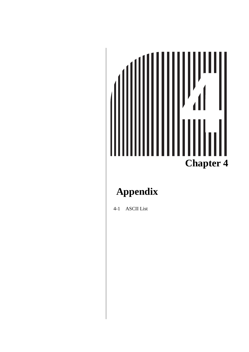# **Chapter 4**

# <span id="page-41-0"></span>**Appendix**

[4-1 ASCII List](#page-42-0)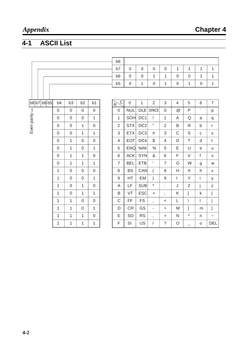# <span id="page-42-1"></span><span id="page-42-0"></span>**4-1 ASCII List**

|                           |                  |                  |                  |                  | b <sub>8</sub>                            |                  |                 |                  |                  |                  |              |                  |                           |
|---------------------------|------------------|------------------|------------------|------------------|-------------------------------------------|------------------|-----------------|------------------|------------------|------------------|--------------|------------------|---------------------------|
|                           |                  |                  |                  |                  | b7                                        | $\boldsymbol{0}$ | $\mathbf 0$     | $\boldsymbol{0}$ | $\boldsymbol{0}$ | 1                | 1            | $\mathbf{1}$     | 1                         |
|                           |                  |                  |                  |                  | b <sub>6</sub>                            | $\mathbf 0$      | $\mathbf 0$     | 1                | 1                | $\boldsymbol{0}$ | $\mathbf 0$  | 1                | 1                         |
|                           |                  |                  |                  |                  | b <sub>5</sub>                            | $\boldsymbol{0}$ | 1               | $\boldsymbol{0}$ | 1                | $\boldsymbol{0}$ | 1            | $\boldsymbol{0}$ | $\mathbf{1}$              |
|                           |                  |                  |                  |                  |                                           |                  |                 |                  |                  |                  |              |                  |                           |
| $b8$ $b7$<br>b6 b5        | b <sub>4</sub>   | b <sub>3</sub>   | b <sub>2</sub>   | b <sub>1</sub>   | $\overline{\mathrm{c}}$<br>$\overline{R}$ | $\mathbf 0$      | $\mathbf{1}$    | $\overline{2}$   | 3                | $\overline{4}$   | 5            | 6                | $\overline{7}$            |
|                           | $\boldsymbol{0}$ | $\mathbf 0$      | $\mathbf 0$      | $\boldsymbol{0}$ | $\mathbf 0$                               | <b>NUL</b>       | <b>DLE</b>      | <b>SPACE</b>     | $\boldsymbol{0}$ | @                | P            | $\mathbf{v}$     | р                         |
|                           | 0                | $\mathbf 0$      | $\mathbf 0$      | $\mathbf{1}$     | $\mathbf{1}$                              | SOH              | DC <sub>1</sub> | Ţ                | 1                | A                | Q            | a                | q                         |
| Even parity $\rightarrow$ | $\boldsymbol{0}$ | $\boldsymbol{0}$ | 1                | $\boldsymbol{0}$ | $\overline{2}$                            | <b>STX</b>       | DC <sub>2</sub> | $\mathbf H$      | $\overline{2}$   | B                | $\mathsf{R}$ | $\mathsf b$      | r                         |
|                           | $\boldsymbol{0}$ | $\mathsf 0$      | $\mathbf{1}$     | $\mathbf{1}$     | 3                                         | <b>ETX</b>       | DC <sub>3</sub> | #                | 3                | C                | $\mathsf S$  | $\mathsf C$      | $\mathsf S$               |
|                           | $\boldsymbol{0}$ | $\mathbf{1}$     | $\mathbf 0$      | $\boldsymbol{0}$ | 4                                         | EOT              | DC4             | \$               | 4                | D                | $\top$       | d                | t                         |
|                           | $\boldsymbol{0}$ | $\mathbf{1}$     | $\overline{0}$   | $\mathbf{1}$     | 5                                         | <b>ENQ</b>       | <b>NAK</b>      | $\frac{0}{0}$    | 5                | E                | U            | e                | u                         |
|                           | $\boldsymbol{0}$ | $\mathbf{1}$     | 1                | $\boldsymbol{0}$ | 6                                         | <b>ACK</b>       | <b>SYN</b>      | &                | 6                | F                | $\vee$       | f                | V                         |
|                           | $\mathbf 0$      | $\mathbf{1}$     | $\mathbf{1}$     | $\mathbf{1}$     | $\overline{7}$                            | <b>BEL</b>       | <b>ETB</b>      | $\mathbb{F}$     | $\overline{7}$   | G                | W            | g                | W                         |
|                           | 1                | $\mathsf 0$      | $\boldsymbol{0}$ | $\boldsymbol{0}$ | 8                                         | <b>BS</b>        | CAN             | $\overline{(}$   | 8                | $\mathsf{H}$     | $\mathsf X$  | h                | X                         |
|                           | 1                | $\mathsf 0$      | $\mathbf 0$      | $\mathbf{1}$     | $\mathsf 9$                               | HT               | EM              | $\mathcal{E}$    | $\mathsf 9$      | L                | Y            | j.               | у                         |
|                           | 1                | 0                | 1                | $\boldsymbol{0}$ | A                                         | LF               | <b>SUB</b>      | $^\star$         | t                | J                | Ζ            | j                | Z                         |
|                           | 1                | $\boldsymbol{0}$ | $\mathbf{1}$     | $\mathbf{1}$     | B                                         | VT               | <b>ESC</b>      | $\ddot{}$        | $\vdots$         | Κ                | ſ            | k                | $\{$                      |
|                           | 1                | $\mathbf{1}$     | $\mathbf 0$      | $\boldsymbol{0}$ | $\mathsf C$                               | FF               | <b>FS</b>       | $\mathbf{I}$     | $\,<$            | L                | $\setminus$  | T                | $\overline{1}$            |
|                           | 1                | $\mathbf{1}$     | $\mathbf 0$      | $\mathbf{1}$     | D                                         | <b>CR</b>        | GS              | ٠                | $=$              | M                | 1            | m                | }                         |
|                           | 1                | $\mathbf{1}$     | 1                | $\boldsymbol{0}$ | E                                         | SO               | <b>RS</b>       | ÷.               | >                | $\mathsf{N}$     | ٨            | n                | $\widetilde{\phantom{m}}$ |
|                           | 1                | $\mathbf{1}$     | 1                | $\mathbf{1}$     | F                                         | SI               | US              | $\sqrt{2}$       | $\tilde{?}$      | $\bigcirc$       | $\equiv$     | $\mathsf O$      | <b>DEL</b>                |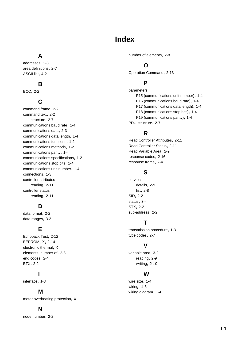#### **Index**

#### <span id="page-43-0"></span>**A**

addresses, [2-8](#page-28-3) area definitions, [2-7](#page-27-4) ASCII list, [4-2](#page-42-1)

#### **B**

BCC, [2-2](#page-22-2)

#### **C**

command frame, [2-2](#page-22-3) command text, [2-2](#page-22-4) structure, [2-7](#page-27-5) communications baud rate, [1-4](#page-16-1) communications data, [2-3](#page-23-2) communications data length, [1-4](#page-16-2) communications functions, [1-2](#page-14-3) communications methods, [1-2](#page-14-4) communications parity, [1-4](#page-16-3) communications specifications, [1-2](#page-14-5) communications stop bits, [1-4](#page-16-4) communications unit number, [1-4](#page-16-5) connections, [1-3](#page-15-3) controller attributes reading, [2-11](#page-31-2) controller status reading, [2-11](#page-31-3)

#### **D**

data format, [2-2](#page-22-5) data ranges, [3-2](#page-38-1)

#### **E**

Echoback Test, [2-12](#page-32-1) EEPROM, [X,](#page-10-0) [2-14](#page-34-0) electronic thermal, [X](#page-10-1) elements, number of, [2-8](#page-28-4) end codes, [2-4](#page-24-1) ETX, [2-2](#page-22-6)

#### **I**

interface, [1-3](#page-15-4)

#### **M**

motor overheating protection, [X](#page-10-2)

#### **N**

node number, [2-2](#page-22-7)

number of elements, [2-8](#page-28-5)

#### **O**

Operation Command, [2-13](#page-33-1)

#### **P**

parameters P15 (communications unit number), [1-4](#page-16-6) P16 (communications baud rate), [1-4](#page-16-7) P17 (communications data length), [1-4](#page-16-8) P18 (communications stop bits), [1-4](#page-16-9) P19 (communications parity), [1-4](#page-16-10) PDU structure, [2-7](#page-27-6)

#### **R**

Read Controller Attributes, [2-11](#page-31-4) Read Controller Status, [2-11](#page-31-5) Read Variable Area, [2-9](#page-29-2) response codes, [2-16](#page-36-1) response frame, [2-4](#page-24-2)

#### **S**

services details, [2-9](#page-29-3) list, [2-8](#page-28-6) SID, [2-2](#page-22-8) status, [3-4](#page-40-1) STX, [2-2](#page-22-9) sub-address, [2-2](#page-22-10)

#### **T**

transmission procedure, [1-3](#page-15-5) type codes, [2-7](#page-27-7)

#### **V**

variable area, [3-2](#page-38-1) reading, [2-9](#page-29-4) writing, [2-10](#page-30-1)

#### **W**

wire size, [1-4](#page-16-11) wiring, [1-3](#page-15-6) wiring diagram, [1-4](#page-16-12)